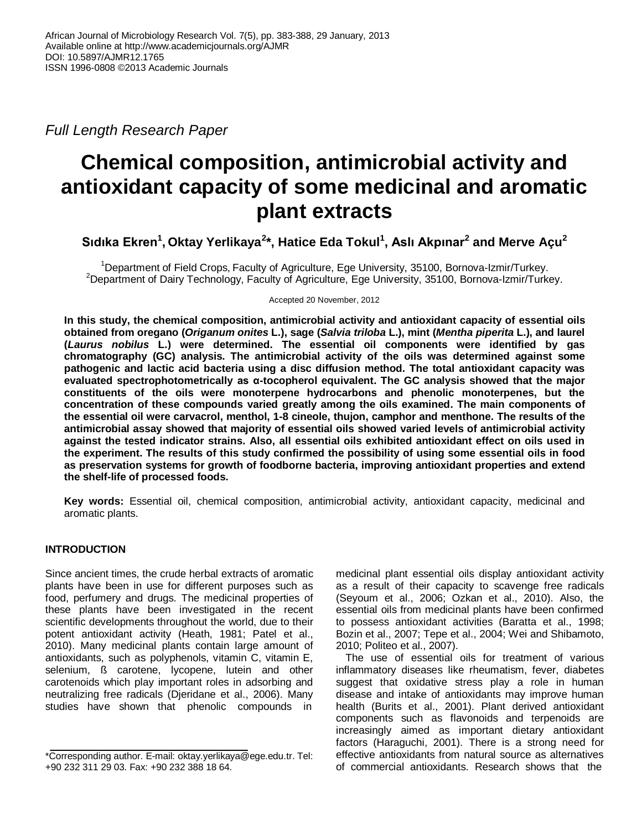*Full Length Research Paper*

# **Chemical composition, antimicrobial activity and antioxidant capacity of some medicinal and aromatic plant extracts**

**Sıdıka Ekren<sup>1</sup> , Oktay Yerlikaya<sup>2</sup> \*, Hatice Eda Tokul<sup>1</sup> , Aslı Akpınar<sup>2</sup> and Merve Açu<sup>2</sup>**

<sup>1</sup>Department of Field Crops, Faculty of Agriculture, Ege University, 35100, Bornova-Izmir/Turkey. <sup>2</sup>Department of Dairy Technology, Faculty of Agriculture, Ege University, 35100, Bornova-Izmir/Turkey.

Accepted 20 November, 2012

**In this study, the chemical composition, antimicrobial activity and antioxidant capacity of essential oils obtained from oregano (***Origanum onites* **L.), sage (***Salvia triloba* **L.), mint (***Mentha piperita* **L.), and laurel (***Laurus nobilus* **L.) were determined. The essential oil components were identified by gas chromatography (GC) analysis. The antimicrobial activity of the oils was determined against some pathogenic and lactic acid bacteria using a disc diffusion method. The total antioxidant capacity was evaluated spectrophotometrically as α-tocopherol equivalent. The GC analysis showed that the major constituents of the oils were monoterpene hydrocarbons and phenolic monoterpenes, but the concentration of these compounds varied greatly among the oils examined. The main components of the essential oil were carvacrol, menthol, 1-8 cineole, thujon, camphor and menthone. The results of the antimicrobial assay showed that majority of essential oils showed varied levels of antimicrobial activity against the tested indicator strains. Also, all essential oils exhibited antioxidant effect on oils used in the experiment. The results of this study confirmed the possibility of using some essential oils in food as preservation systems for growth of foodborne bacteria, improving antioxidant properties and extend the shelf-life of processed foods.**

**Key words:** Essential oil, chemical composition, antimicrobial activity, antioxidant capacity, medicinal and aromatic plants.

# **INTRODUCTION**

Since ancient times, the crude herbal extracts of aromatic plants have been in use for different purposes such as food, perfumery and drugs. The medicinal properties of these plants have been investigated in the recent scientific developments throughout the world, due to their potent antioxidant activity (Heath, 1981; Patel et al., 2010). Many medicinal plants contain large amount of antioxidants, such as polyphenols, vitamin C, vitamin E, selenium, ß carotene, lycopene, lutein and other carotenoids which play important roles in adsorbing and neutralizing free radicals (Djeridane et al., 2006). Many studies have shown that phenolic compounds in

medicinal plant essential oils display antioxidant activity as a result of their capacity to scavenge free radicals (Seyoum et al., 2006; Ozkan et al., 2010). Also, the essential oils from medicinal plants have been confirmed to possess antioxidant activities (Baratta et al., 1998; Bozin et al., 2007; Tepe et al., 2004; Wei and Shibamoto, 2010; Politeo et al., 2007).

The use of essential oils for treatment of various inflammatory diseases like rheumatism, fever, diabetes suggest that oxidative stress play a role in human disease and intake of antioxidants may improve human health (Burits et al., 2001). Plant derived antioxidant components such as flavonoids and terpenoids are increasingly aimed as important dietary antioxidant factors (Haraguchi, 2001). There is a strong need for effective antioxidants from natural source as alternatives of commercial antioxidants. Research shows that the

<sup>\*</sup>Corresponding author. E-mail: oktay.yerlikaya@ege.edu.tr. Tel: +90 232 311 29 03. Fax: +90 232 388 18 64.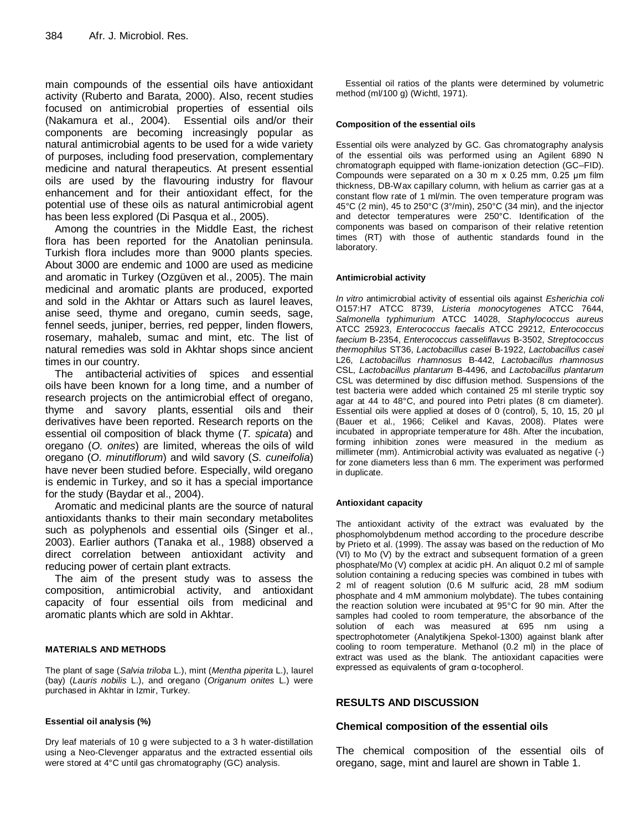main compounds of the essential oils have antioxidant activity (Ruberto and Barata, 2000). Also, recent studies focused on antimicrobial properties of essential oils (Nakamura et al., 2004). Essential oils and/or their components are becoming increasingly popular as natural antimicrobial agents to be used for a wide variety of purposes, including food preservation, complementary medicine and natural therapeutics. At present essential oils are used by the flavouring industry for flavour enhancement and for their antioxidant effect, for the potential use of these oils as natural antimicrobial agent has been less explored (Di Pasqua et al., 2005).

Among the countries in the Middle East, the richest flora has been reported for the Anatolian peninsula. Turkish flora includes more than 9000 plants species. About 3000 are endemic and 1000 are used as medicine and aromatic in Turkey (Ozgüven et al., 2005). The main medicinal and aromatic plants are produced, exported and sold in the Akhtar or Attars such as laurel leaves, anise seed, thyme and oregano, cumin seeds, sage, fennel seeds, juniper, berries, red pepper, linden flowers, rosemary, mahaleb, sumac and mint, etc. The list of natural remedies was sold in Akhtar shops since ancient times in our country.

The antibacterial activities of spices and essential oils have been known for a long time, and a number of research projects on the antimicrobial effect of oregano, thyme and savory plants, essential oils and their derivatives have been reported. Research reports on the essential oil composition of black thyme (*T. spicata*) and oregano (*O. onites*) are limited, whereas the oils of wild oregano (*O. minutiflorum*) and wild savory (*S. cuneifolia*) have never been studied before. Especially, wild oregano is endemic in Turkey, and so it has a special importance for the study (Baydar et al., 2004).

Aromatic and medicinal plants are the source of natural antioxidants thanks to their main secondary metabolites such as polyphenols and essential oils (Singer et al., 2003). Earlier authors (Tanaka et al., 1988) observed a direct correlation between antioxidant activity and reducing power of certain plant extracts.

The aim of the present study was to assess the composition, antimicrobial activity, and antioxidant capacity of four essential oils from medicinal and aromatic plants which are sold in Akhtar.

### **MATERIALS AND METHODS**

The plant of sage (*Salvia triloba* L.), mint (*Mentha piperita* L.), laurel (bay) (*Lauris nobilis* L.), and oregano (*Origanum onites* L.) were purchased in Akhtar in Izmir, Turkey.

#### **Essential oil analysis (%)**

Dry leaf materials of 10 g were subjected to a 3 h water-distillation using a Neo-Clevenger apparatus and the extracted essential oils were stored at 4°C until gas chromatography (GC) analysis.

Essential oil ratios of the plants were determined by volumetric method (ml/100 g) (Wichtl, 1971).

#### **Composition of the essential oils**

Essential oils were analyzed by GC. Gas chromatography analysis of the essential oils was performed using an Agilent 6890 N chromatograph equipped with flame-ionization detection (GC–FID). Compounds were separated on a 30 m x 0.25 mm, 0.25 μm film thickness, DB-Wax capillary column, with helium as carrier gas at a constant flow rate of 1 ml/min. The oven temperature program was 45°C (2 min), 45 to 250°C (3°/min), 250°C (34 min), and the injector and detector temperatures were 250°C. Identification of the components was based on comparison of their relative retention times (RT) with those of authentic standards found in the laboratory.

#### **Antimicrobial activity**

*In vitro* antimicrobial activity of essential oils against *Esherichia coli* O157:H7 ATCC 8739, *Listeria monocytogenes* ATCC 7644, *Salmonella typhimurium* ATCC 14028, *Staphylococcus aureus* ATCC 25923, *Enterococcus faecalis* ATCC 29212, *Enterococcus faecium* B-2354, *Enterococcus casseliflavus* B-3502, *Streptococcus thermophilus* ST36, *Lactobacillus casei* B-1922, *Lactobacillus casei* L26, *Lactobacillus rhamnosus* B-442, *Lactobacillus rhamnosus* CSL, *Lactobacillus plantarum* B-4496, and *Lactobacillus plantarum*  CSL was determined by disc diffusion method. Suspensions of the test bacteria were added which contained 25 ml sterile tryptic soy agar at 44 to 48°C, and poured into Petri plates (8 cm diameter). Essential oils were applied at doses of 0 (control), 5, 10, 15, 20 μl (Bauer et al., 1966; Celikel and Kavas, 2008). Plates were incubated in appropriate temperature for 48h. After the incubation, forming inhibition zones were measured in the medium as millimeter (mm). Antimicrobial activity was evaluated as negative (-) for zone diameters less than 6 mm. The experiment was performed in duplicate.

#### **Antioxidant capacity**

The antioxidant activity of the extract was evaluated by the phosphomolybdenum method according to the procedure describe by Prieto et al. (1999). The assay was based on the reduction of Mo (VI) to Mo (V) by the extract and subsequent formation of a green phosphate/Mo (V) complex at acidic pH. An aliquot 0.2 ml of sample solution containing a reducing species was combined in tubes with 2 ml of reagent solution (0.6 M sulfuric acid, 28 mM sodium phosphate and 4 mM ammonium molybdate). The tubes containing the reaction solution were incubated at 95°C for 90 min. After the samples had cooled to room temperature, the absorbance of the solution of each was measured at 695 nm using a spectrophotometer (Analytikjena Spekol-1300) against blank after cooling to room temperature. Methanol (0.2 ml) in the place of extract was used as the blank. The antioxidant capacities were expressed as equivalents of gram α-tocopherol.

#### **RESULTS AND DISCUSSION**

#### **Chemical composition of the essential oils**

The chemical composition of the essential oils of oregano, sage, mint and laurel are shown in Table 1.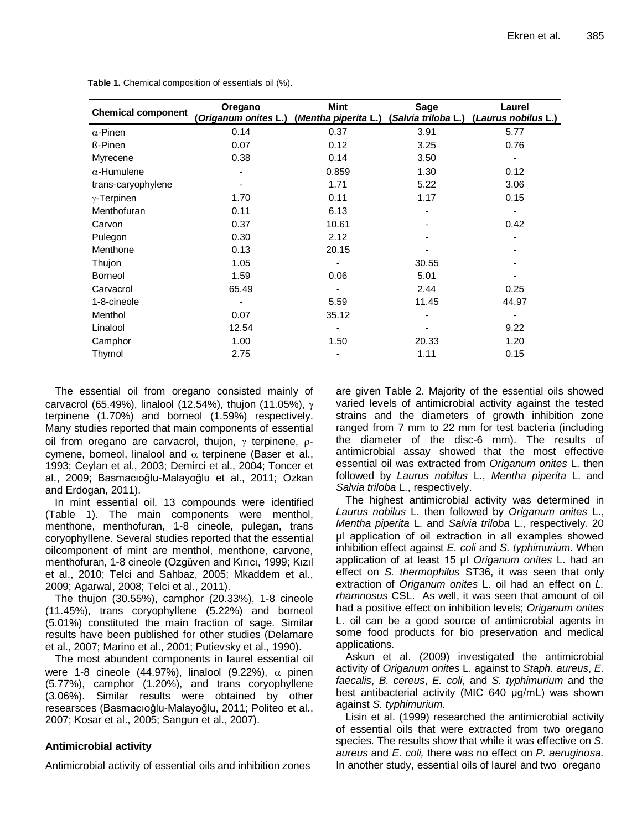| <b>Chemical component</b> | Oregano<br>Origanum onites L.) | <b>Mint</b><br>(Mentha piperita L.) | <b>Sage</b><br>(Salvia triloba L.) | Laurel<br>(Laurus nobilus L.) |  |  |
|---------------------------|--------------------------------|-------------------------------------|------------------------------------|-------------------------------|--|--|
| $\alpha$ -Pinen           | 0.14                           | 0.37                                | 3.91                               | 5.77                          |  |  |
| <b>ß-Pinen</b>            | 0.07                           | 0.12                                | 3.25                               | 0.76                          |  |  |
| Myrecene                  | 0.38                           | 0.14                                | 3.50                               |                               |  |  |
| $\alpha$ -Humulene        |                                | 0.859                               | 1.30                               | 0.12                          |  |  |
| trans-caryophylene        |                                | 1.71                                | 5.22                               | 3.06                          |  |  |
| $\gamma$ -Terpinen        | 1.70                           | 0.11                                | 1.17                               | 0.15                          |  |  |
| Menthofuran               | 0.11                           | 6.13                                |                                    |                               |  |  |
| Carvon                    | 0.37                           | 10.61                               |                                    | 0.42                          |  |  |
| Pulegon                   | 0.30                           | 2.12                                |                                    |                               |  |  |
| Menthone                  | 0.13                           | 20.15                               |                                    |                               |  |  |
| Thujon                    | 1.05                           |                                     | 30.55                              |                               |  |  |
| Borneol                   | 1.59                           | 0.06                                | 5.01                               |                               |  |  |
| Carvacrol                 | 65.49                          |                                     | 2.44                               | 0.25                          |  |  |
| 1-8-cineole               |                                | 5.59                                | 11.45                              | 44.97                         |  |  |
| Menthol                   | 0.07                           | 35.12                               |                                    |                               |  |  |
| Linalool                  | 12.54                          |                                     |                                    | 9.22                          |  |  |
| Camphor                   | 1.00                           | 1.50                                | 20.33                              | 1.20                          |  |  |
| Thymol                    | 2.75                           |                                     | 1.11                               | 0.15                          |  |  |

**Table 1.** Chemical composition of essentials oil (%).

The essential oil from oregano consisted mainly of carvacrol (65.49%), linalool (12.54%), thujon (11.05%),  $\gamma$ terpinene (1.70%) and borneol (1.59%) respectively. Many studies reported that main components of essential oil from oregano are carvacrol, thujon,  $\gamma$  terpinene,  $\rho$ cymene, borneol, linalool and  $\alpha$  terpinene (Baser et al., 1993; Ceylan et al., 2003; Demirci et al., 2004; Toncer et al., 2009; Basmacıoğlu-Malayoğlu et al., 2011; Ozkan and Erdogan, 2011).

In mint essential oil, 13 compounds were identified (Table 1). The main components were menthol, menthone, menthofuran, 1-8 cineole, pulegan, trans coryophyllene. Several studies reported that the essential oilcomponent of mint are menthol, menthone, carvone, menthofuran, 1-8 cineole (Ozgüven and Kırıcı, 1999; Kızıl et al., 2010; Telci and Sahbaz, 2005; Mkaddem et al., 2009; Agarwal, 2008; Telci et al., 2011).

The thujon (30.55%), camphor (20.33%), 1-8 cineole (11.45%), trans coryophyllene (5.22%) and borneol (5.01%) constituted the main fraction of sage. Similar results have been published for other studies (Delamare et al., 2007; Marino et al., 2001; Putievsky et al., 1990).

The most abundent components in laurel essential oil were 1-8 cineole (44.97%), linalool (9.22%),  $\alpha$  pinen (5.77%), camphor (1.20%), and trans coryophyllene (3.06%). Similar results were obtained by other researsces (Basmacıoğlu-Malayoğlu, 2011; Politeo et al., 2007; Kosar et al., 2005; Sangun et al., 2007).

# **Antimicrobial activity**

Antimicrobial activity of essential oils and inhibition zones

are given Table 2. Majority of the essential oils showed varied levels of antimicrobial activity against the tested strains and the diameters of growth inhibition zone ranged from 7 mm to 22 mm for test bacteria (including the diameter of the disc-6 mm). The results of antimicrobial assay showed that the most effective essential oil was extracted from *Origanum onites* L. then followed by *Laurus nobilus* L., *Mentha piperita* L. and *Salvia triloba* L., respectively.

The highest antimicrobial activity was determined in *Laurus nobilus* L. then followed by *Origanum onites* L., *Mentha piperita* L. and *Salvia triloba* L., respectively. 20 μl application of oil extraction in all examples showed inhibition effect against *E. coli* and *S. typhimurium*. When application of at least 15 μl *Origanum onites* L. had an effect on *S. thermophilus* ST36, it was seen that only extraction of *Origanum onites* L. oil had an effect on *L. rhamnosus* CSL. As well, it was seen that amount of oil had a positive effect on inhibition levels; *Origanum onites* L. oil can be a good source of antimicrobial agents in some food products for bio preservation and medical applications.

Askun et al. (2009) investigated the antimicrobial activity of *Origanum onites* L. against to *Staph. aureus*, *E. faecalis*, *B. cereus*, *E. coli*, and *S. typhimurium* and the best antibacterial activity (MIC 640 μg/mL) was shown against *S. typhimurium.* 

Lisin et al. (1999) researched the antimicrobial activity of essential oils that were extracted from two oregano species. The results show that while it was effective on *S. aureus* and *E. coli,* there was no effect on *P. aeruginosa.* In another study, essential oils of laurel and two oregano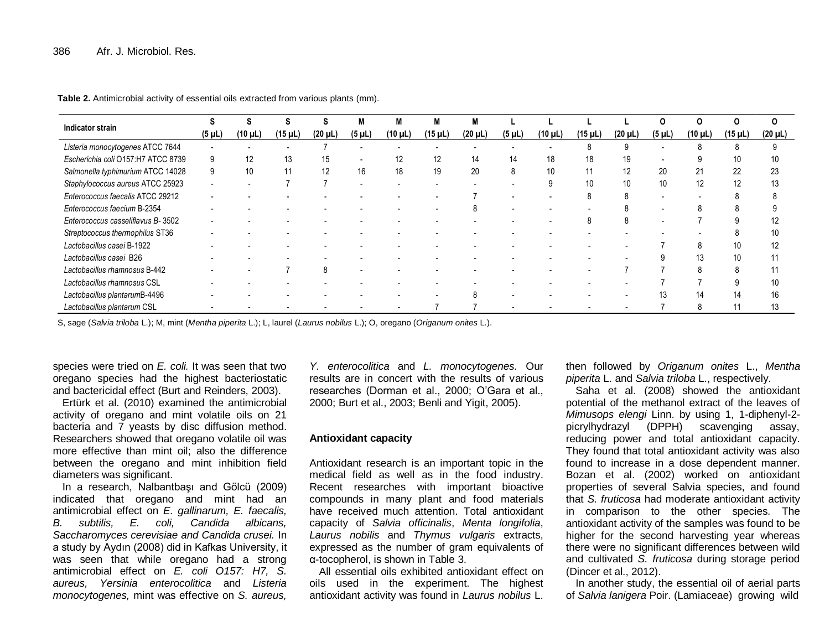| Indicator strain<br>$(5 \mu L)$    |         |         |              |             | M            | M       | M            | M           |              |         |              |             |              |              |              |    |
|------------------------------------|---------|---------|--------------|-------------|--------------|---------|--------------|-------------|--------------|---------|--------------|-------------|--------------|--------------|--------------|----|
|                                    | (10 µL) | (15 µL) | $(20 \mu L)$ | $(5 \mu L)$ | $(10 \mu L)$ | (15 µL) | $(20 \mu L)$ | $(5 \mu L)$ | $(10 \mu L)$ | (15 µL) | $(20 \mu L)$ | $(5 \mu L)$ | $(10 \mu L)$ | $(15 \mu L)$ | $(20 \mu L)$ |    |
| Listeria monocytogenes ATCC 7644   |         |         |              |             |              |         |              |             |              |         |              |             |              |              |              |    |
| Escherichia coli O157:H7 ATCC 8739 | 9       | 12      | 13           | 15          |              | 12      | 12           | 14          | 14           | 18      | 18           | 19          |              |              |              | 10 |
| Salmonella typhimurium ATCC 14028  | 9       | 10      |              | 12          | 16           | 18      | 19           | 20          | 8            | 10      | 11           | 12          | 20           | 21           | 22           | 23 |
| Staphylococcus aureus ATCC 25923   |         |         |              |             |              |         | ۰            |             |              |         | 10           | 10          | 10           | 12           |              | 13 |
| Enterococcus faecalis ATCC 29212   |         |         |              |             |              |         |              |             |              |         |              |             |              |              |              |    |
| Enterococcus faecium B-2354        |         |         |              |             |              |         |              |             |              |         |              |             |              |              |              |    |
| Enterococcus casseliflavus B-3502  |         |         |              |             |              |         |              |             |              |         |              |             |              |              |              | 12 |
| Streptococcus thermophilus ST36    |         |         |              |             |              |         |              |             |              |         |              |             |              |              |              | 10 |
| Lactobacillus casei B-1922         |         |         |              |             |              |         |              |             |              |         |              |             |              |              | 10           | 12 |
| Lactobacillus casei B26            |         |         |              |             |              |         |              |             |              |         |              |             |              | 13           | 10           |    |
| Lactobacillus rhamnosus B-442      |         |         |              | 8           |              |         |              |             |              |         |              |             |              |              |              |    |
| Lactobacillus rhamnosus CSL        |         |         |              |             |              |         |              |             |              |         |              |             |              |              |              | 10 |
| Lactobacillus plantarumB-4496      |         |         |              |             |              |         |              |             |              |         |              |             | 13           | 14           | 14           | 16 |
| Lactobacillus plantarum CSL        |         |         |              |             |              |         |              |             |              |         |              |             |              |              |              | 13 |

**Table 2.** Antimicrobial activity of essential oils extracted from various plants (mm).

S, sage (*Salvia triloba* L.); M, mint (*Mentha piperita* L.); L, laurel (*Laurus nobilus* L.); O, oregano (*Origanum onites* L.).

species were tried on *E. coli.* It was seen that two oregano species had the highest bacteriostatic and bactericidal effect (Burt and Reinders, 2003).

Ertürk et al. (2010) examined the antimicrobial activity of oregano and mint volatile oils on 21 bacteria and  $\overline{7}$  yeasts by disc diffusion method. Researchers showed that oregano volatile oil was more effective than mint oil; also the difference between the oregano and mint inhibition field diameters was significant.

In a research, Nalbantbaşı and Gölcü (2009) indicated that oregano and mint had an antimicrobial effect on *E. gallinarum, E. faecalis, B. subtilis, E. coli, Candida albicans, Saccharomyces cerevisiae and Candida crusei.* In a study by Aydın (2008) did in Kafkas University, it was seen that while oregano had a strong antimicrobial effect on *E. coli O157: H7, S. aureus, Yersinia enterocolitica* and *Listeria monocytogenes,* mint was effective on *S. aureus,* 

*Y. enterocolitica* and *L. monocytogenes.* Our results are in concert with the results of various researches (Dorman et al., 2000; O'Gara et al., 2000; Burt et al., 2003; Benli and Yigit, 2005).

#### **Antioxidant capacity**

Antioxidant research is an important topic in the medical field as well as in the food industry. Recent researches with important bioactive compounds in many plant and food materials have received much attention. Total antioxidant capacity of *Salvia officinalis*, *Menta longifolia*, *Laurus nobilis* and *Thymus vulgaris* extracts, expressed as the number of gram equivalents of α-tocopherol, is shown in Table 3.

All essential oils exhibited antioxidant effect on oils used in the experiment. The highest antioxidant activity was found in *Laurus nobilus* L.

then followed by *Origanum onites* L., *Mentha piperita* L. and *Salvia triloba* L., respectively.

Saha et al. (2008) showed the antioxidant potential of the methanol extract of the leaves of *Mimusops elengi* Linn. by using 1, 1-diphenyl-2 picrylhydrazyl (DPPH) scavenging assay, reducing power and total antioxidant capacity. They found that total antioxidant activity was also found to increase in a dose dependent manner. Bozan et al. (2002) worked on antioxidant properties of several Salvia species, and found that *S. fruticosa* had moderate antioxidant activity in comparison to the other species. The antioxidant activity of the samples was found to be higher for the second harvesting year whereas there were no significant differences between wild and cultivated *S. fruticosa* during storage period (Dincer et al., 2012).

In another study, the essential oil of aerial parts of *Salvia lanigera* Poir. (Lamiaceae) growing wild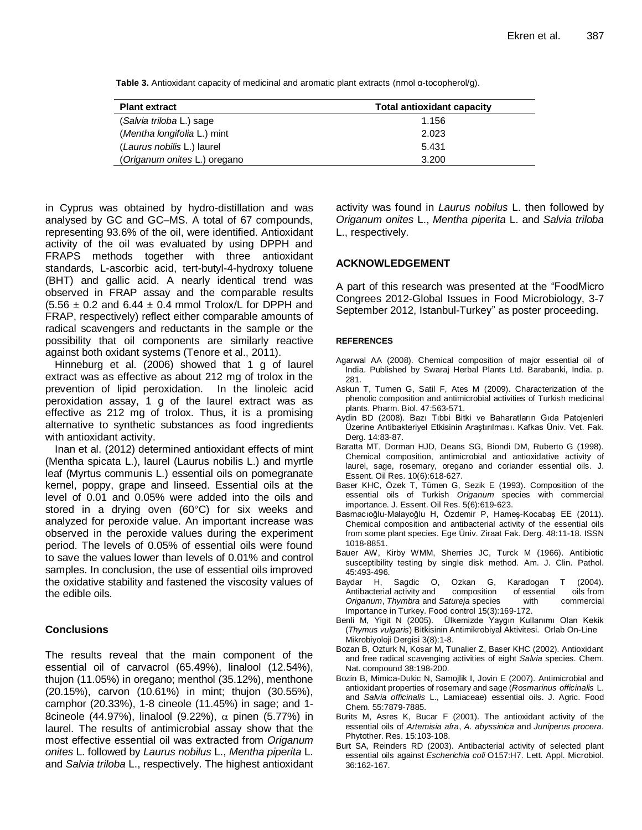| <b>Plant extract</b>         | <b>Total antioxidant capacity</b> |  |  |  |  |  |
|------------------------------|-----------------------------------|--|--|--|--|--|
| (Salvia triloba L.) sage     | 1.156                             |  |  |  |  |  |
| (Mentha longifolia L.) mint  | 2.023                             |  |  |  |  |  |
| (Laurus nobilis L.) laurel   | 5.431                             |  |  |  |  |  |
| (Origanum onites L.) oregano | 3.200                             |  |  |  |  |  |

**Table 3.** Antioxidant capacity of medicinal and aromatic plant extracts (nmol α-tocopherol/g).

in Cyprus was obtained by hydro-distillation and was analysed by GC and GC–MS. A total of 67 compounds, representing 93.6% of the oil, were identified. Antioxidant activity of the oil was evaluated by using DPPH and FRAPS methods together with three antioxidant standards, L-ascorbic acid, tert-butyl-4-hydroxy toluene (BHT) and gallic acid. A nearly identical trend was observed in FRAP assay and the comparable results  $(5.56 \pm 0.2$  and  $6.44 \pm 0.4$  mmol Trolox/L for DPPH and FRAP, respectively) reflect either comparable amounts of radical scavengers and reductants in the sample or the possibility that oil components are similarly reactive against both oxidant systems (Tenore et al., 2011).

Hinneburg et al. (2006) showed that 1 g of laurel extract was as effective as about 212 mg of trolox in the prevention of lipid peroxidation. In the linoleic acid peroxidation assay, 1 g of the laurel extract was as effective as 212 mg of trolox. Thus, it is a promising alternative to synthetic substances as food ingredients with antioxidant activity.

Inan et al. (2012) determined antioxidant effects of mint (Mentha spicata L.), laurel (Laurus nobilis L.) and myrtle leaf (Myrtus communis L.) essential oils on pomegranate kernel, poppy, grape and linseed. Essential oils at the level of 0.01 and 0.05% were added into the oils and stored in a drying oven (60°C) for six weeks and analyzed for peroxide value. An important increase was observed in the peroxide values during the experiment period. The levels of 0.05% of essential oils were found to save the values lower than levels of 0.01% and control samples. In conclusion, the use of essential oils improved the oxidative stability and fastened the viscosity values of the edible oils.

## **Conclusions**

The results reveal that the main component of the essential oil of carvacrol (65.49%), linalool (12.54%), thujon (11.05%) in oregano; menthol (35.12%), menthone (20.15%), carvon (10.61%) in mint; thujon (30.55%), camphor (20.33%), 1-8 cineole (11.45%) in sage; and 1- 8cineole (44.97%), linalool (9.22%),  $\alpha$  pinen (5.77%) in laurel. The results of antimicrobial assay show that the most effective essential oil was extracted from *Origanum onites* L. followed by *Laurus nobilus* L., *Mentha piperita* L. and *Salvia triloba* L., respectively. The highest antioxidant activity was found in *Laurus nobilus* L. then followed by *Origanum onites* L., *Mentha piperita* L. and *Salvia triloba* L., respectively.

## **ACKNOWLEDGEMENT**

A part of this research was presented at the "FoodMicro Congrees 2012-Global Issues in Food Microbiology, 3-7 September 2012, Istanbul-Turkey" as poster proceeding.

#### **REFERENCES**

- Agarwal AA (2008). Chemical composition of major essential oil of India. Published by Swaraj Herbal Plants Ltd. Barabanki, India. p. 281.
- Askun T, Tumen G, Satil F, Ates M (2009). Characterization of the phenolic composition and antimicrobial activities of Turkish medicinal plants. Pharm. Biol. 47:563-571.
- Aydin BD (2008). Bazı Tıbbi Bitki ve Baharatların Gıda Patojenleri Üzerine Antibakteriyel Etkisinin Araştırılması. Kafkas Üniv. Vet. Fak. Derg. 14:83-87.
- Baratta MT, Dorman HJD, Deans SG, Biondi DM, Ruberto G (1998). Chemical composition, antimicrobial and antioxidative activity of laurel, sage, rosemary, oregano and coriander essential oils. J. Essent. Oil Res. 10(6):618-627.
- Baser KHC, Özek T, Tümen G, Sezik E (1993). Composition of the essential oils of Turkish *Origanum* species with commercial importance. J. Essent. Oil Res. 5(6):619-623.
- Basmacıoğlu-Malayoğlu H, Özdemir P, Hameş-Kocabaş EE (2011). Chemical composition and antibacterial activity of the essential oils from some plant species. Ege Üniv. Ziraat Fak. Derg. 48:11-18. ISSN 1018-8851.
- Bauer AW, Kirby WMM, Sherries JC, Turck M (1966). Antibiotic susceptibility testing by single disk method. Am. J. Clin. Pathol. 45:493-496.
- Baydar H, Sagdic O, Ozkan G, Karadogan T (2004). Antibacterial activity and composition of essential oils from<br>Origanum, Thymbra and Satureja species with commercial *Origanum*, *Thymbra* and *Satureja* species with commercial Importance in Turkey. Food control 15(3):169-172.
- Benli M, Yigit N (2005). Ülkemizde Yaygın Kullanımı Olan Kekik (*Thymus vulgaris*) Bitkisinin Antimikrobiyal Aktivitesi. Orlab On-Line Mikrobiyoloji Dergisi 3(8):1-8.
- Bozan B, Ozturk N, Kosar M, Tunalier Z, Baser KHC (2002). Antioxidant and free radical scavenging activities of eight *Salvia* species. Chem. Nat. compound 38:198-200.
- Bozin B, Mimica-Dukic N, Samojlik I, Jovin E (2007). Antimicrobial and antioxidant properties of rosemary and sage (*Rosmarinus officinalis* L. and *Salvia officinalis* L., Lamiaceae) essential oils. J. Agric. Food Chem. 55:7879-7885.
- Burits M, Asres K, Bucar F (2001). The antioxidant activity of the essential oils of *Artemisia afra*, *A. abyssinica* and *Juniperus procera*. Phytother. Res. 15:103-108.
- Burt SA, Reinders RD (2003). Antibacterial activity of selected plant essential oils against *Escherichia coli* O157:H7. Lett. Appl. Microbiol. 36:162-167.